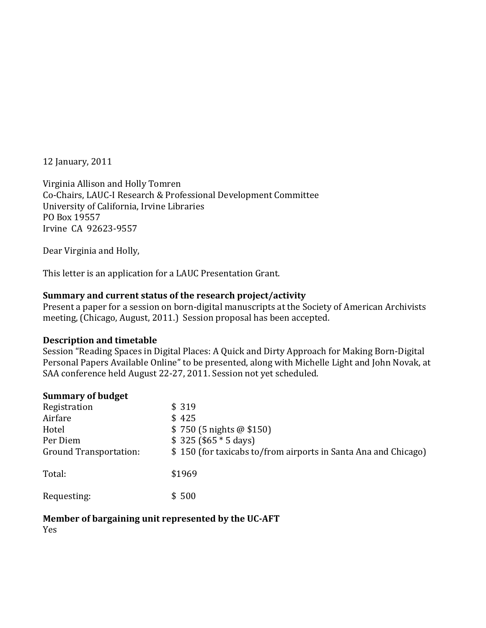12 January, 2011

Virginia Allison and Holly Tomren Co‐Chairs, LAUC‐I Research & Professional Development Committee University of California, Irvine Libraries PO Box 19557 Irvine CA 92623‐9557

Dear Virginia and Holly,

This letter is an application for a LAUC Presentation Grant.

#### **Summary and current status of the research project/activity**

Present a paper for a session on born‐digital manuscripts at the Society of American Archivists meeting, (Chicago, August, 2011.) Session proposal has been accepted.

#### **Description and timetable**

Session "Reading Spaces in Digital Places: A Quick and Dirty Approach for Making Born‐Digital Personal Papers Available Online" to be presented, along with Michelle Light and John Novak, at SAA conference held August 22‐27, 2011. Session not yet scheduled.

#### **Summary of budget**

| Registration                  | \$319                                                          |
|-------------------------------|----------------------------------------------------------------|
| Airfare                       | \$425                                                          |
| Hotel                         | $$750(5\text{ nights} \& $150)$                                |
| Per Diem                      | $$325 ($65 * 5 days)$                                          |
| <b>Ground Transportation:</b> | \$150 (for taxicabs to/from airports in Santa Ana and Chicago) |
| Total:                        | \$1969                                                         |
| Requesting:                   | \$500                                                          |

#### **Member of bargaining unit represented by the UCAFT**

Yes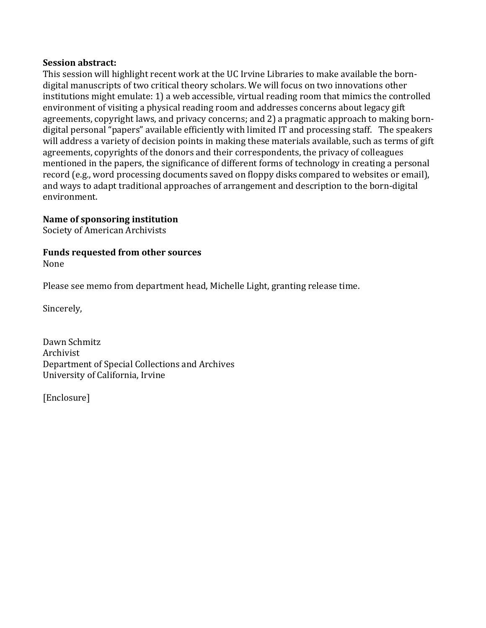## **Session abstract:**

This session will highlight recent work at the UC Irvine Libraries to make available the born‐ digital manuscripts of two critical theory scholars. We will focus on two innovations other institutions might emulate: 1) a web accessible, virtual reading room that mimics the controlled environment of visiting a physical reading room and addresses concerns about legacy gift agreements, copyright laws, and privacy concerns; and 2) a pragmatic approach to making born‐ digital personal "papers" available efficiently with limited IT and processing staff. The speakers will address a variety of decision points in making these materials available, such as terms of gift agreements, copyrights of the donors and their correspondents, the privacy of colleagues mentioned in the papers, the significance of different forms of technology in creating a personal record (e.g., word processing documents saved on floppy disks compared to websites or email), and ways to adapt traditional approaches of arrangement and description to the born‐digital environment.

## **Name of sponsoring institution**

Society of American Archivists

# **Funds requested from other sources**

None

Please see memo from department head, Michelle Light, granting release time.

Sincerely,

Dawn Schmitz Archivist Department of Special Collections and Archives University of California, Irvine

[Enclosure]